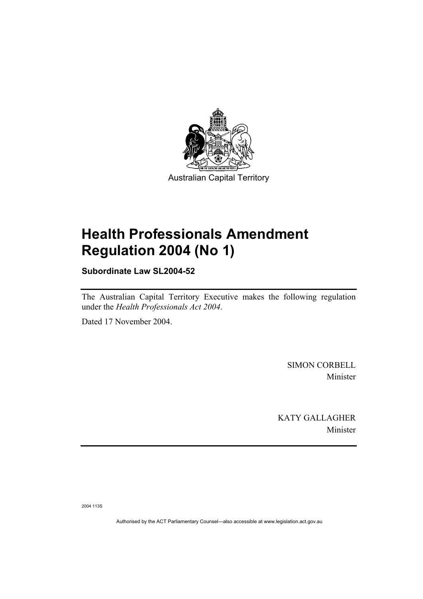

# **Health Professionals Amendment Regulation 2004 (No 1)**

**Subordinate Law SL2004-52** 

The Australian Capital Territory Executive makes the following regulation under the *Health Professionals Act 2004*.

Dated 17 November 2004.

SIMON CORBELL Minister

KATY GALLAGHER Minister

2004 113S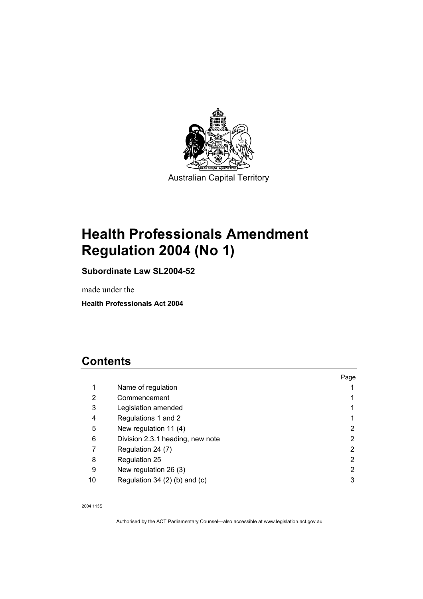

# **Health Professionals Amendment Regulation 2004 (No 1)**

**Subordinate Law SL2004-52** 

made under the

**Health Professionals Act 2004** 

# **Contents**

|    |                                     | Page |
|----|-------------------------------------|------|
| 1  | Name of regulation                  |      |
| 2  | Commencement                        |      |
| 3  | Legislation amended                 |      |
| 4  | Regulations 1 and 2                 |      |
| 5  | New regulation 11 (4)               | 2    |
| 6  | Division 2.3.1 heading, new note    | 2    |
|    | Regulation 24 (7)                   | 2    |
| 8  | Regulation 25                       | 2    |
| 9  | New regulation 26 (3)               | 2    |
| 10 | Regulation 34 $(2)$ $(b)$ and $(c)$ | 3    |

2004 113S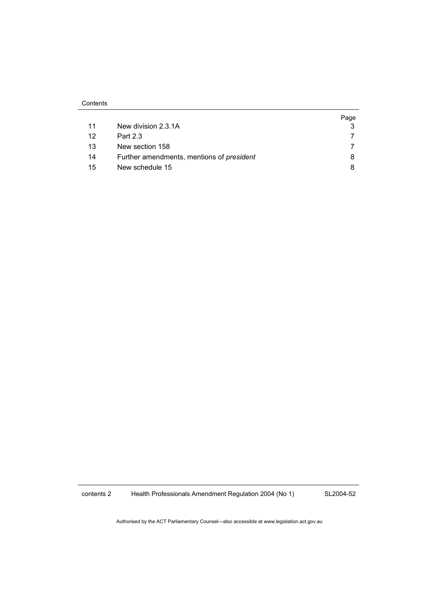|    |                                                  | Page |
|----|--------------------------------------------------|------|
| 11 | New division 2.3.1A                              |      |
| 12 | Part 2.3                                         |      |
| 13 | New section 158                                  |      |
| 14 | Further amendments, mentions of <i>president</i> |      |
| 15 | New schedule 15                                  |      |

contents 2 Health Professionals Amendment Regulation 2004 (No 1)

SL2004-52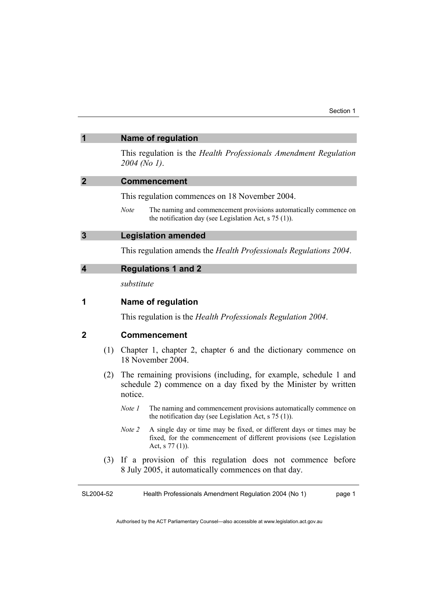| $\overline{\mathbf{1}}$ |     | <b>Name of regulation</b>                                                                                                                     |  |
|-------------------------|-----|-----------------------------------------------------------------------------------------------------------------------------------------------|--|
|                         |     | This regulation is the Health Professionals Amendment Regulation<br>$2004$ (No 1).                                                            |  |
| $\overline{2}$          |     | <b>Commencement</b>                                                                                                                           |  |
|                         |     | This regulation commences on 18 November 2004.                                                                                                |  |
|                         |     | The naming and commencement provisions automatically commence on<br><b>Note</b><br>the notification day (see Legislation Act, $s$ 75 (1)).    |  |
| $\overline{\mathbf{3}}$ |     | <b>Legislation amended</b>                                                                                                                    |  |
|                         |     | This regulation amends the Health Professionals Regulations 2004.                                                                             |  |
| $\overline{\mathbf{4}}$ |     | <b>Regulations 1 and 2</b>                                                                                                                    |  |
|                         |     | substitute                                                                                                                                    |  |
| 1                       |     | Name of regulation                                                                                                                            |  |
|                         |     | This regulation is the <i>Health Professionals Regulation 2004</i> .                                                                          |  |
| $\mathbf 2$             |     | <b>Commencement</b>                                                                                                                           |  |
|                         | (1) | Chapter 1, chapter 2, chapter 6 and the dictionary commence on<br>18 November 2004.                                                           |  |
|                         | (2) | The remaining provisions (including, for example, schedule 1 and<br>schedule 2) commence on a day fixed by the Minister by written<br>notice. |  |
|                         |     | The naming and commencement provisions automatically commence on<br>Note 1<br>the notification day (see Legislation Act, $s$ 75 (1)).         |  |
|                         |     |                                                                                                                                               |  |

- *Note 2* A single day or time may be fixed, or different days or times may be fixed, for the commencement of different provisions (see Legislation Act, s 77 (1)).
- (3) If a provision of this regulation does not commence before 8 July 2005, it automatically commences on that day.

SL2004-52 Health Professionals Amendment Regulation 2004 (No 1) page 1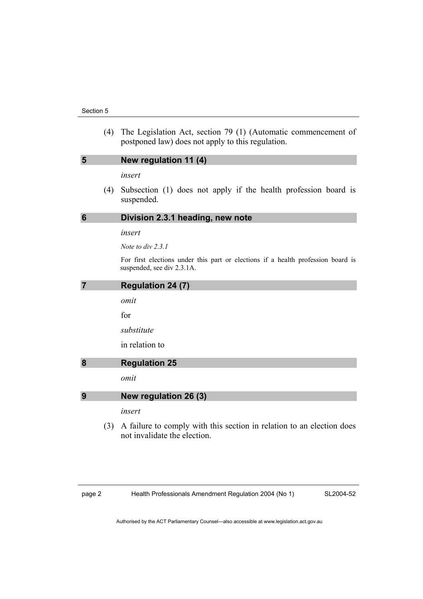#### Section 5

 (4) The Legislation Act, section 79 (1) (Automatic commencement of postponed law) does not apply to this regulation.

# **5 New regulation 11 (4)**

*insert* 

 (4) Subsection (1) does not apply if the health profession board is suspended.

### **6 Division 2.3.1 heading, new note**

### *insert*

*Note to div 2.3.1* 

For first elections under this part or elections if a health profession board is suspended, see div 2.3.1A.

### **7 Regulation 24 (7)**

*omit* 

for

*substitute* 

in relation to

# **8 Regulation 25**

*omit* 

### **9 New regulation 26 (3)**

*insert* 

 (3) A failure to comply with this section in relation to an election does not invalidate the election.

page 2 Health Professionals Amendment Regulation 2004 (No 1)

SL2004-52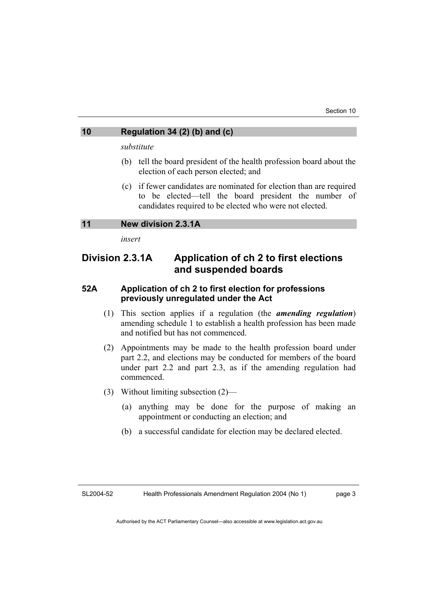# **10 Regulation 34 (2) (b) and (c)**

*substitute* 

- (b) tell the board president of the health profession board about the election of each person elected; and
- (c) if fewer candidates are nominated for election than are required to be elected—tell the board president the number of candidates required to be elected who were not elected.

### **11 New division 2.3.1A**

*insert* 

# **Division 2.3.1A Application of ch 2 to first elections and suspended boards**

# **52A Application of ch 2 to first election for professions previously unregulated under the Act**

- (1) This section applies if a regulation (the *amending regulation*) amending schedule 1 to establish a health profession has been made and notified but has not commenced.
- (2) Appointments may be made to the health profession board under part 2.2, and elections may be conducted for members of the board under part 2.2 and part 2.3, as if the amending regulation had commenced.
- (3) Without limiting subsection (2)—
	- (a) anything may be done for the purpose of making an appointment or conducting an election; and
	- (b) a successful candidate for election may be declared elected.

SL2004-52 Health Professionals Amendment Regulation 2004 (No 1) page 3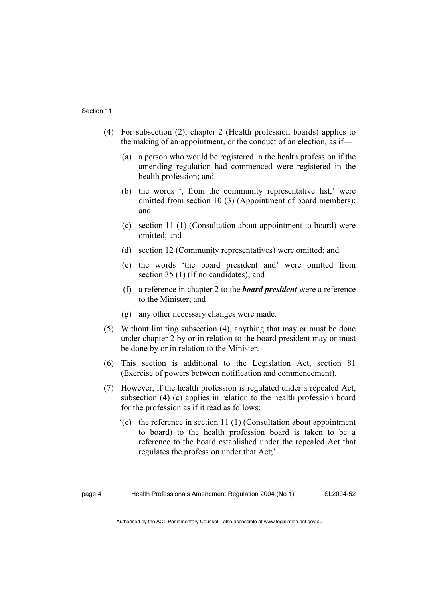- (4) For subsection (2), chapter 2 (Health profession boards) applies to the making of an appointment, or the conduct of an election, as if—
	- (a) a person who would be registered in the health profession if the amending regulation had commenced were registered in the health profession; and
	- (b) the words ', from the community representative list,' were omitted from section 10 (3) (Appointment of board members); and
	- (c) section 11 (1) (Consultation about appointment to board) were omitted; and
	- (d) section 12 (Community representatives) were omitted; and
	- (e) the words 'the board president and' were omitted from section 35 (1) (If no candidates); and
	- (f) a reference in chapter 2 to the *board president* were a reference to the Minister; and
	- (g) any other necessary changes were made.
- (5) Without limiting subsection (4), anything that may or must be done under chapter 2 by or in relation to the board president may or must be done by or in relation to the Minister.
- (6) This section is additional to the Legislation Act, section 81 (Exercise of powers between notification and commencement).
- (7) However, if the health profession is regulated under a repealed Act, subsection (4) (c) applies in relation to the health profession board for the profession as if it read as follows:
	- '(c) the reference in section 11 (1) (Consultation about appointment to board) to the health profession board is taken to be a reference to the board established under the repealed Act that regulates the profession under that Act;'.

SL2004-52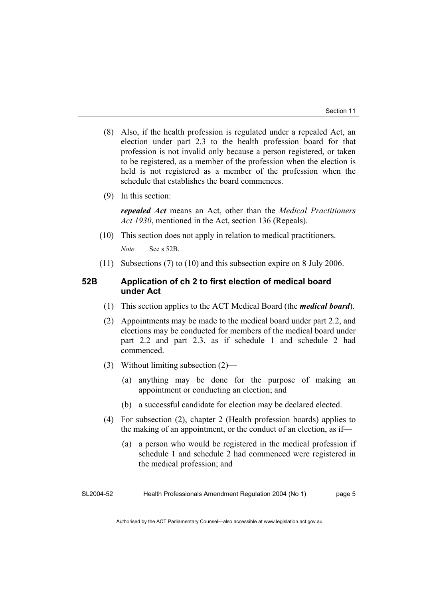- (8) Also, if the health profession is regulated under a repealed Act, an election under part 2.3 to the health profession board for that profession is not invalid only because a person registered, or taken to be registered, as a member of the profession when the election is held is not registered as a member of the profession when the schedule that establishes the board commences.
- (9) In this section:

*repealed Act* means an Act, other than the *Medical Practitioners Act 1930*, mentioned in the Act, section 136 (Repeals).

(10) This section does not apply in relation to medical practitioners.

*Note* See s 52B.

(11) Subsections (7) to (10) and this subsection expire on 8 July 2006.

# **52B Application of ch 2 to first election of medical board under Act**

- (1) This section applies to the ACT Medical Board (the *medical board*).
- (2) Appointments may be made to the medical board under part 2.2, and elections may be conducted for members of the medical board under part 2.2 and part 2.3, as if schedule 1 and schedule 2 had commenced.
- (3) Without limiting subsection (2)—
	- (a) anything may be done for the purpose of making an appointment or conducting an election; and
	- (b) a successful candidate for election may be declared elected.
- (4) For subsection (2), chapter 2 (Health profession boards) applies to the making of an appointment, or the conduct of an election, as if—
	- (a) a person who would be registered in the medical profession if schedule 1 and schedule 2 had commenced were registered in the medical profession; and

SL2004-52 Health Professionals Amendment Regulation 2004 (No 1) page 5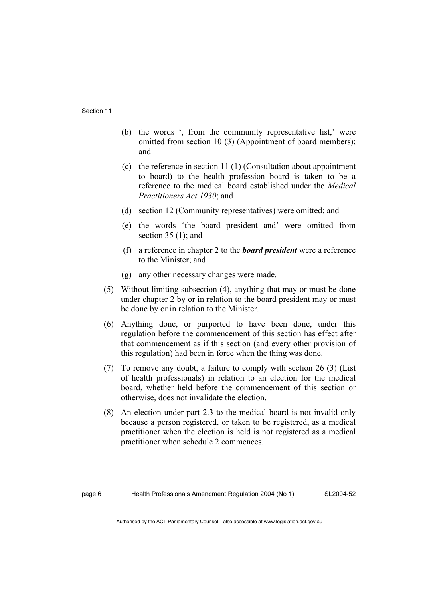- (b) the words ', from the community representative list,' were omitted from section 10 (3) (Appointment of board members); and
- (c) the reference in section 11 (1) (Consultation about appointment to board) to the health profession board is taken to be a reference to the medical board established under the *Medical Practitioners Act 1930*; and
- (d) section 12 (Community representatives) were omitted; and
- (e) the words 'the board president and' were omitted from section  $35(1)$ ; and
- (f) a reference in chapter 2 to the *board president* were a reference to the Minister; and
- (g) any other necessary changes were made.
- (5) Without limiting subsection (4), anything that may or must be done under chapter 2 by or in relation to the board president may or must be done by or in relation to the Minister.
- (6) Anything done, or purported to have been done, under this regulation before the commencement of this section has effect after that commencement as if this section (and every other provision of this regulation) had been in force when the thing was done.
- (7) To remove any doubt, a failure to comply with section 26 (3) (List of health professionals) in relation to an election for the medical board, whether held before the commencement of this section or otherwise, does not invalidate the election.
- (8) An election under part 2.3 to the medical board is not invalid only because a person registered, or taken to be registered, as a medical practitioner when the election is held is not registered as a medical practitioner when schedule 2 commences.

SL2004-52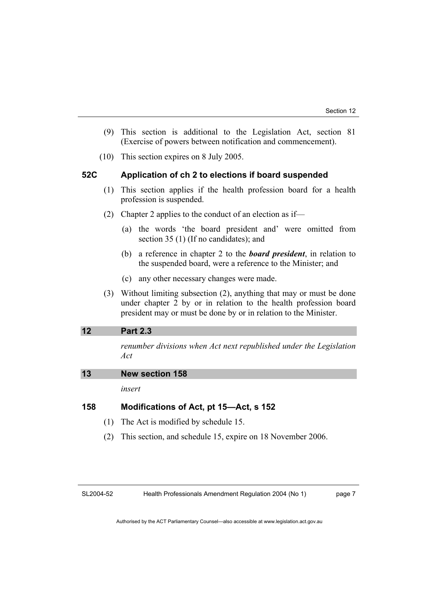- (9) This section is additional to the Legislation Act, section 81 (Exercise of powers between notification and commencement).
- (10) This section expires on 8 July 2005.

### **52C Application of ch 2 to elections if board suspended**

- (1) This section applies if the health profession board for a health profession is suspended.
- (2) Chapter 2 applies to the conduct of an election as if—
	- (a) the words 'the board president and' were omitted from section 35 (1) (If no candidates); and
	- (b) a reference in chapter 2 to the *board president*, in relation to the suspended board, were a reference to the Minister; and
	- (c) any other necessary changes were made.
- (3) Without limiting subsection (2), anything that may or must be done under chapter 2 by or in relation to the health profession board president may or must be done by or in relation to the Minister.

### **12 Part 2.3**

*renumber divisions when Act next republished under the Legislation Act* 

| 13 | <b>New section 158</b> |  |
|----|------------------------|--|
|    |                        |  |

*insert* 

## **158 Modifications of Act, pt 15—Act, s 152**

- (1) The Act is modified by schedule 15.
- (2) This section, and schedule 15, expire on 18 November 2006.

SL2004-52

Health Professionals Amendment Regulation 2004 (No 1)

page 7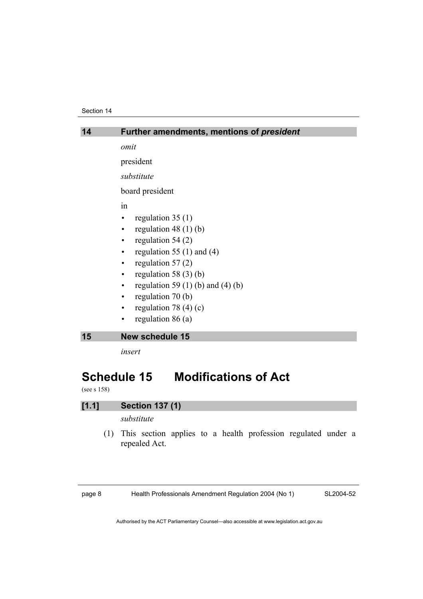#### Section 14

| 14 | Further amendments, mentions of president |
|----|-------------------------------------------|
|    | omit                                      |
|    | president                                 |
|    | substitute                                |
|    | board president                           |
|    | 1n                                        |
|    | regulation $35(1)$                        |
|    | regulation 48 $(1)$ $(b)$                 |
|    | regulation $54(2)$<br>$\bullet$           |
|    | regulation 55 $(1)$ and $(4)$             |
|    | regulation $57(2)$<br>$\bullet$           |
|    | regulation 58 $(3)$ $(b)$<br>$\bullet$    |
|    | regulation 59 $(1)$ (b) and $(4)$ (b)     |
|    | regulation 70 (b)<br>$\bullet$            |
|    | regulation 78 $(4)(c)$<br>$\bullet$       |
|    | regulation $86(a)$                        |
| 15 | <b>New schedule 15</b>                    |
|    | insert                                    |

# **Schedule 15 Modifications of Act**

(see s 158)

# **[1.1] Section 137 (1)**

*substitute* 

 (1) This section applies to a health profession regulated under a repealed Act.

page 8 Health Professionals Amendment Regulation 2004 (No 1)

SL2004-52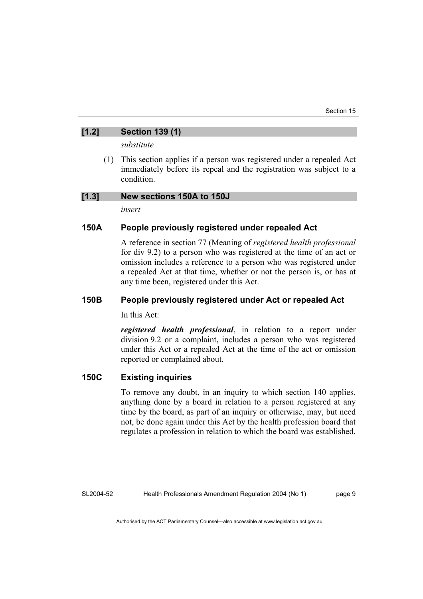# **[1.2] Section 139 (1)**

*substitute* 

 (1) This section applies if a person was registered under a repealed Act immediately before its repeal and the registration was subject to a condition.

### **[1.3] New sections 150A to 150J**

*insert* 

# **150A People previously registered under repealed Act**

A reference in section 77 (Meaning of *registered health professional*  for div 9.2) to a person who was registered at the time of an act or omission includes a reference to a person who was registered under a repealed Act at that time, whether or not the person is, or has at any time been, registered under this Act.

# **150B People previously registered under Act or repealed Act**

In this Act:

*registered health professional*, in relation to a report under division 9.2 or a complaint, includes a person who was registered under this Act or a repealed Act at the time of the act or omission reported or complained about.

# **150C Existing inquiries**

To remove any doubt, in an inquiry to which section 140 applies, anything done by a board in relation to a person registered at any time by the board, as part of an inquiry or otherwise, may, but need not, be done again under this Act by the health profession board that regulates a profession in relation to which the board was established.

SL2004-52

Health Professionals Amendment Regulation 2004 (No 1)

page 9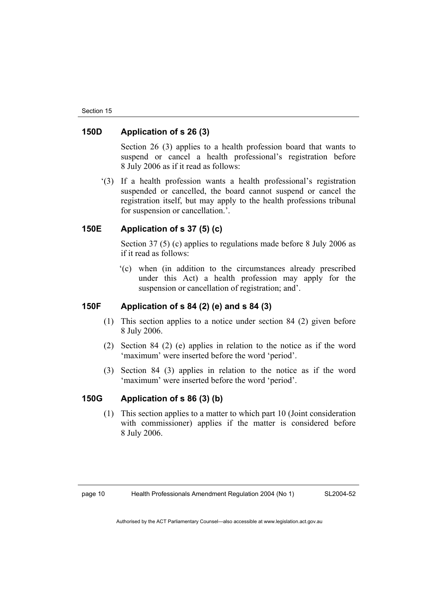# **150D Application of s 26 (3)**

Section 26 (3) applies to a health profession board that wants to suspend or cancel a health professional's registration before 8 July 2006 as if it read as follows:

 '(3) If a health profession wants a health professional's registration suspended or cancelled, the board cannot suspend or cancel the registration itself, but may apply to the health professions tribunal for suspension or cancellation.'.

# **150E Application of s 37 (5) (c)**

Section 37 (5) (c) applies to regulations made before 8 July 2006 as if it read as follows:

 '(c) when (in addition to the circumstances already prescribed under this Act) a health profession may apply for the suspension or cancellation of registration; and'.

# **150F Application of s 84 (2) (e) and s 84 (3)**

- (1) This section applies to a notice under section 84 (2) given before 8 July 2006.
- (2) Section 84 (2) (e) applies in relation to the notice as if the word 'maximum' were inserted before the word 'period'.
- (3) Section 84 (3) applies in relation to the notice as if the word 'maximum' were inserted before the word 'period'.

# **150G Application of s 86 (3) (b)**

 (1) This section applies to a matter to which part 10 (Joint consideration with commissioner) applies if the matter is considered before 8 July 2006.

page 10 Health Professionals Amendment Regulation 2004 (No 1)

SL2004-52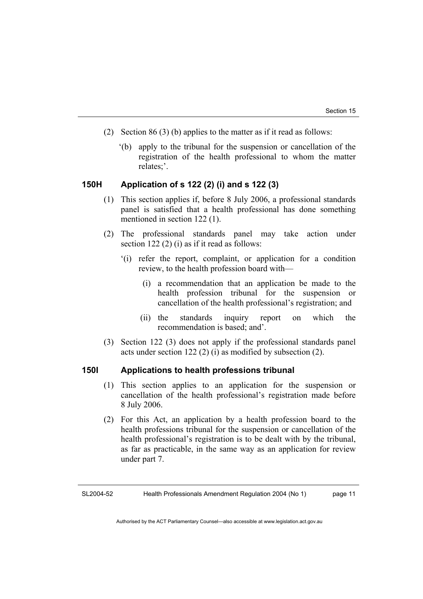- (2) Section 86 (3) (b) applies to the matter as if it read as follows:
	- '(b) apply to the tribunal for the suspension or cancellation of the registration of the health professional to whom the matter relates;'.

# **150H Application of s 122 (2) (i) and s 122 (3)**

- (1) This section applies if, before 8 July 2006, a professional standards panel is satisfied that a health professional has done something mentioned in section 122 (1).
- (2) The professional standards panel may take action under section 122 (2) (i) as if it read as follows:
	- '(i) refer the report, complaint, or application for a condition review, to the health profession board with—
		- (i) a recommendation that an application be made to the health profession tribunal for the suspension or cancellation of the health professional's registration; and
		- (ii) the standards inquiry report on which the recommendation is based; and'.
- (3) Section 122 (3) does not apply if the professional standards panel acts under section 122 (2) (i) as modified by subsection (2).

### **150I Applications to health professions tribunal**

- (1) This section applies to an application for the suspension or cancellation of the health professional's registration made before 8 July 2006.
- (2) For this Act, an application by a health profession board to the health professions tribunal for the suspension or cancellation of the health professional's registration is to be dealt with by the tribunal, as far as practicable, in the same way as an application for review under part 7.

SL2004-52 Health Professionals Amendment Regulation 2004 (No 1) page 11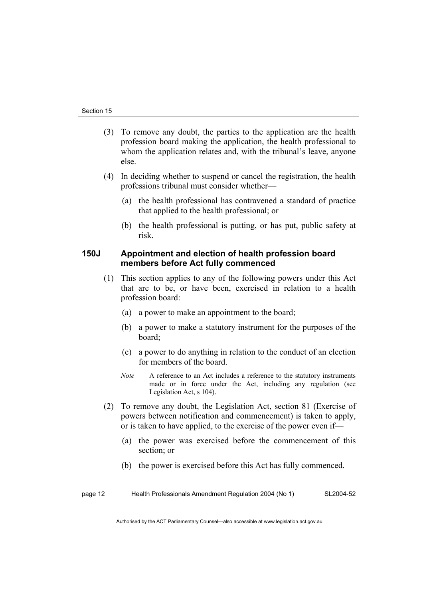- (3) To remove any doubt, the parties to the application are the health profession board making the application, the health professional to whom the application relates and, with the tribunal's leave, anyone else.
- (4) In deciding whether to suspend or cancel the registration, the health professions tribunal must consider whether—
	- (a) the health professional has contravened a standard of practice that applied to the health professional; or
	- (b) the health professional is putting, or has put, public safety at risk.

# **150J Appointment and election of health profession board members before Act fully commenced**

- (1) This section applies to any of the following powers under this Act that are to be, or have been, exercised in relation to a health profession board:
	- (a) a power to make an appointment to the board;
	- (b) a power to make a statutory instrument for the purposes of the board;
	- (c) a power to do anything in relation to the conduct of an election for members of the board.
	- *Note* A reference to an Act includes a reference to the statutory instruments made or in force under the Act, including any regulation (see Legislation Act, s 104).
- (2) To remove any doubt, the Legislation Act, section 81 (Exercise of powers between notification and commencement) is taken to apply, or is taken to have applied, to the exercise of the power even if—
	- (a) the power was exercised before the commencement of this section; or
	- (b) the power is exercised before this Act has fully commenced.

page 12 Health Professionals Amendment Regulation 2004 (No 1) SL2004-52